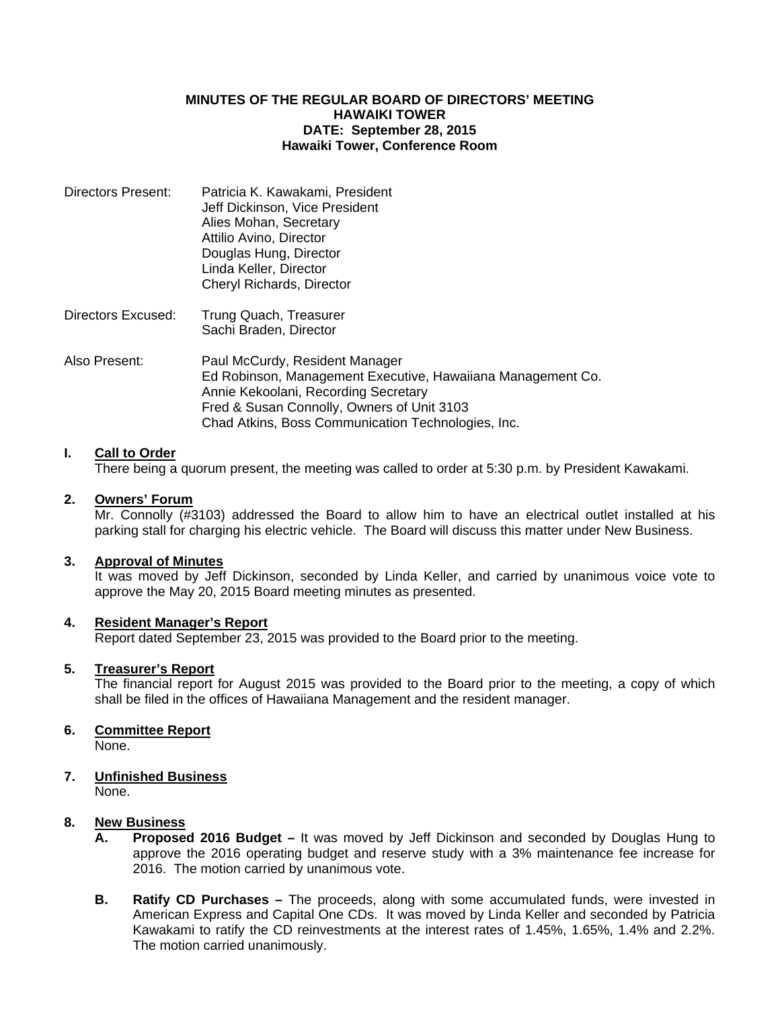#### **MINUTES OF THE REGULAR BOARD OF DIRECTORS' MEETING HAWAIKI TOWER DATE: September 28, 2015 Hawaiki Tower, Conference Room**

| Directors Present: | Patricia K. Kawakami, President<br>Jeff Dickinson, Vice President<br>Alies Mohan, Secretary<br>Attilio Avino, Director<br>Douglas Hung, Director<br>Linda Keller, Director |
|--------------------|----------------------------------------------------------------------------------------------------------------------------------------------------------------------------|
|                    | Cheryl Richards, Director                                                                                                                                                  |
|                    |                                                                                                                                                                            |

- Directors Excused: Trung Quach, Treasurer Sachi Braden, Director
- Also Present: Paul McCurdy, Resident Manager Ed Robinson, Management Executive, Hawaiiana Management Co. Annie Kekoolani, Recording Secretary Fred & Susan Connolly, Owners of Unit 3103 Chad Atkins, Boss Communication Technologies, Inc.

## **I. Call to Order**

There being a quorum present, the meeting was called to order at 5:30 p.m. by President Kawakami.

# **2. Owners' Forum**

Mr. Connolly (#3103) addressed the Board to allow him to have an electrical outlet installed at his parking stall for charging his electric vehicle. The Board will discuss this matter under New Business.

## **3. Approval of Minutes**

 It was moved by Jeff Dickinson, seconded by Linda Keller, and carried by unanimous voice vote to approve the May 20, 2015 Board meeting minutes as presented.

## **4. Resident Manager's Report**

Report dated September 23, 2015 was provided to the Board prior to the meeting.

## **5. Treasurer's Report**

 The financial report for August 2015 was provided to the Board prior to the meeting, a copy of which shall be filed in the offices of Hawaiiana Management and the resident manager.

## **6. Committee Report**

None.

## **7. Unfinished Business**

None.

## **8. New Business**

- **A. Proposed 2016 Budget** It was moved by Jeff Dickinson and seconded by Douglas Hung to approve the 2016 operating budget and reserve study with a 3% maintenance fee increase for 2016. The motion carried by unanimous vote.
- **B. Ratify CD Purchases –** The proceeds, along with some accumulated funds, were invested in American Express and Capital One CDs. It was moved by Linda Keller and seconded by Patricia Kawakami to ratify the CD reinvestments at the interest rates of 1.45%, 1.65%, 1.4% and 2.2%. The motion carried unanimously.